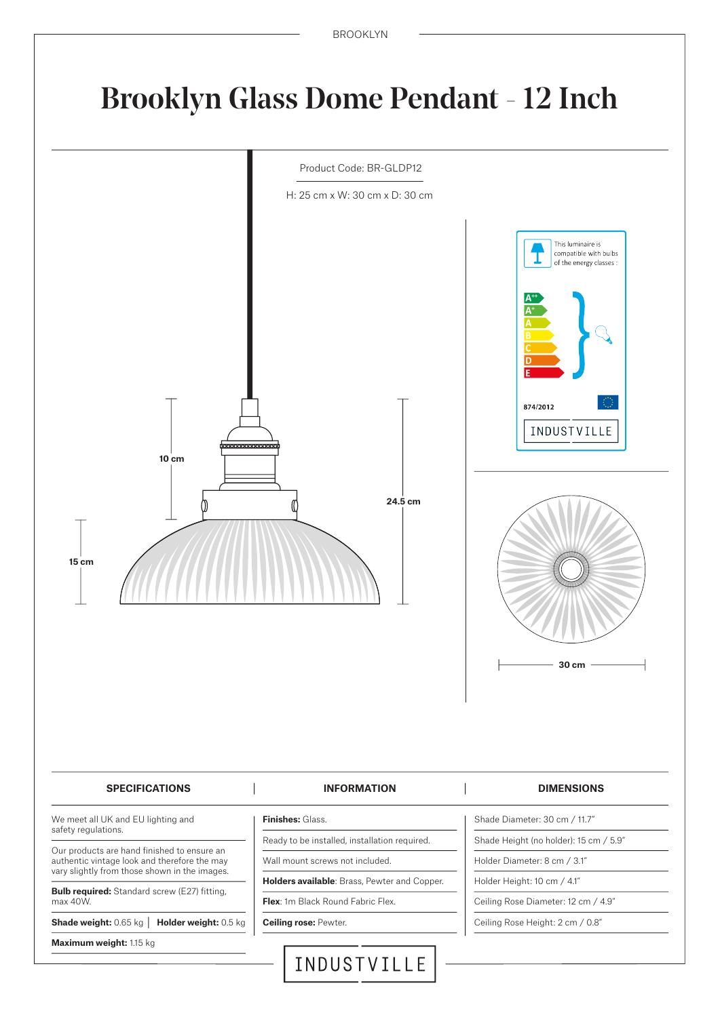# Brooklyn Glass Dome Pendant - 12 Inch



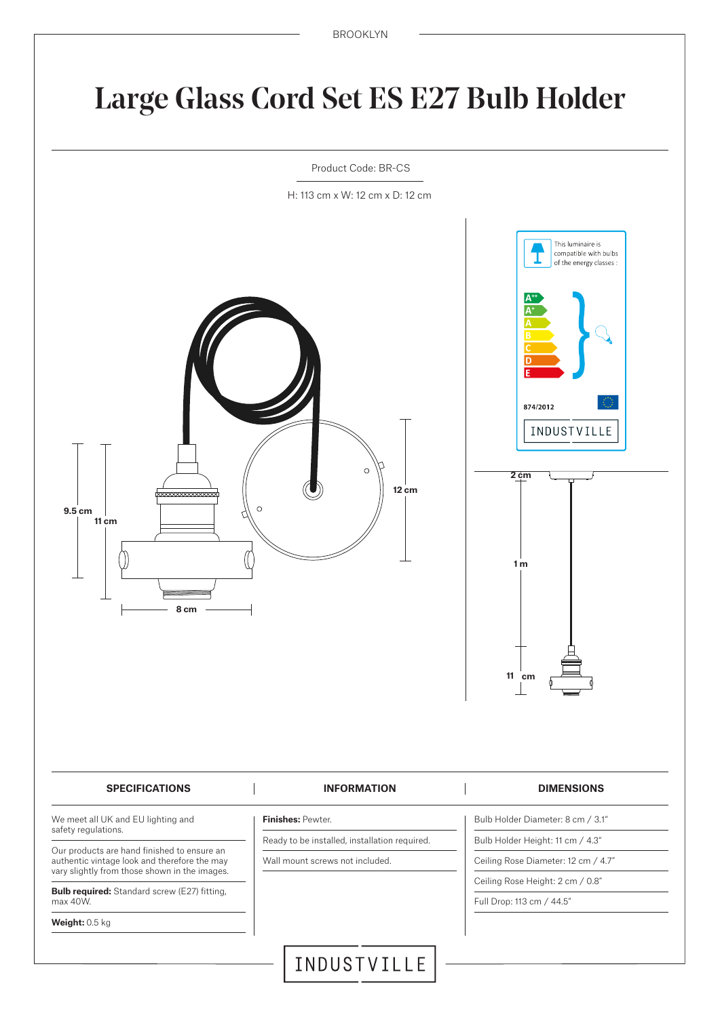# Large Glass Cord Set ES E27 Bulb Holder



H: 113 cm x W: 12 cm x D: 12 cm

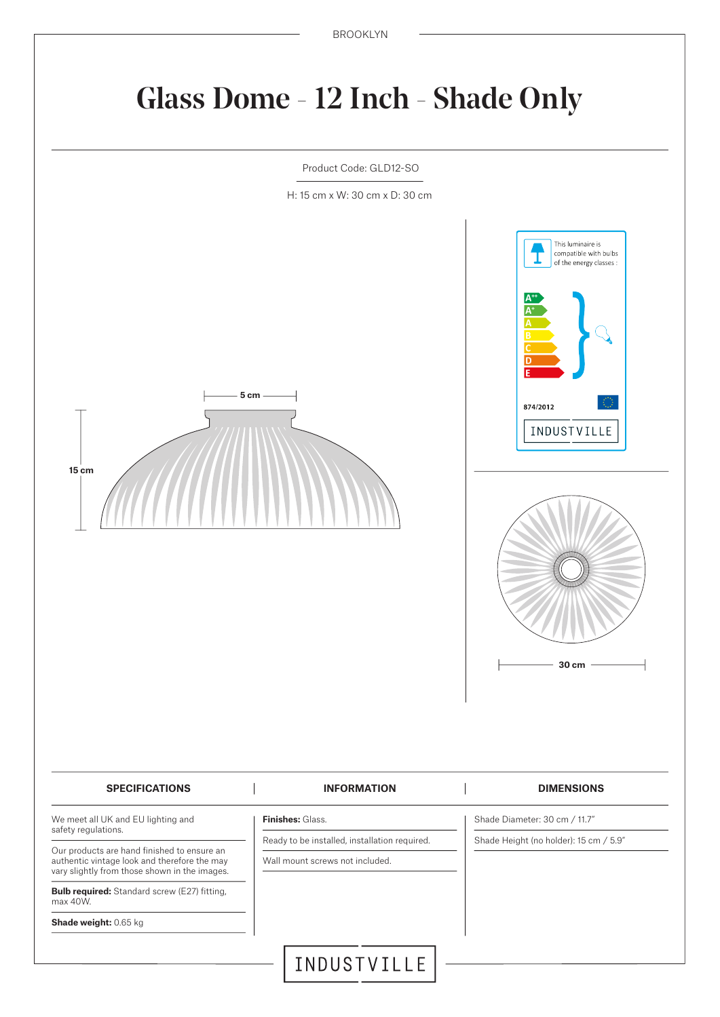# Glass Dome - 12 Inch - Shade Only

Product Code: GLD12-SO

H: 15 cm x W: 30 cm x D: 30 cm



**Shade weight:** 0.65 kg

INDUSTVILLE